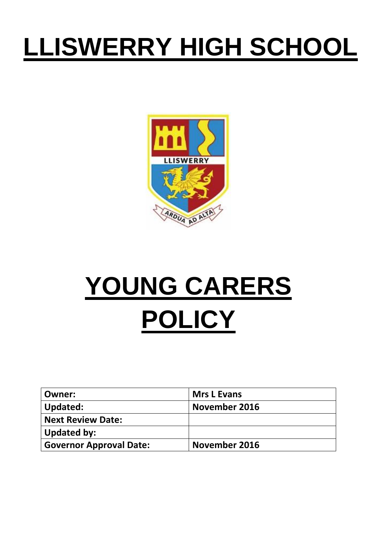# **LLISWERRY HIGH SCHOOL**



# **YOUNG CARERS POLICY**

| Owner:                         | <b>Mrs L Evans</b> |
|--------------------------------|--------------------|
| Updated:                       | November 2016      |
| <b>Next Review Date:</b>       |                    |
| <b>Updated by:</b>             |                    |
| <b>Governor Approval Date:</b> | November 2016      |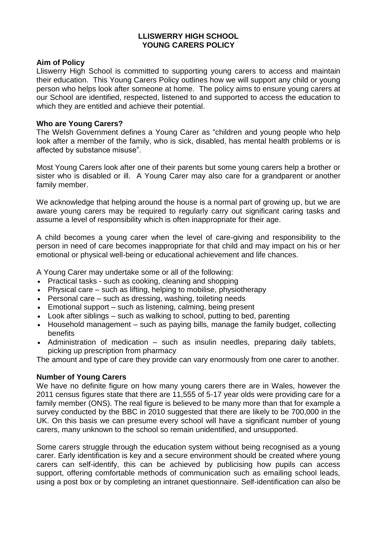#### **LLISWERRY HIGH SCHOOL YOUNG CARERS POLICY**

#### **Aim of Policy**

Lliswerry High School is committed to supporting young carers to access and maintain their education. This Young Carers Policy outlines how we will support any child or young person who helps look after someone at home. The policy aims to ensure young carers at our School are identified, respected, listened to and supported to access the education to which they are entitled and achieve their potential.

#### **Who are Young Carers?**

The Welsh Government defines a Young Carer as "children and young people who help look after a member of the family, who is sick, disabled, has mental health problems or is affected by substance misuse".

Most Young Carers look after one of their parents but some young carers help a brother or sister who is disabled or ill. A Young Carer may also care for a grandparent or another family member.

We acknowledge that helping around the house is a normal part of growing up, but we are aware young carers may be required to regularly carry out significant caring tasks and assume a level of responsibility which is often inappropriate for their age.

A child becomes a young carer when the level of care-giving and responsibility to the person in need of care becomes inappropriate for that child and may impact on his or her emotional or physical well-being or educational achievement and life chances.

A Young Carer may undertake some or all of the following:

- Practical tasks such as cooking, cleaning and shopping
- Physical care such as lifting, helping to mobilise, physiotherapy
- Personal care such as dressing, washing, toileting needs
- Emotional support such as listening, calming, being present
- Look after siblings such as walking to school, putting to bed, parenting
- Household management such as paying bills, manage the family budget, collecting benefits
- Administration of medication such as insulin needles, preparing daily tablets, picking up prescription from pharmacy

The amount and type of care they provide can vary enormously from one carer to another.

#### **Number of Young Carers**

We have no definite figure on how many young carers there are in Wales, however the 2011 census figures state that there are 11,555 of 5-17 year olds were providing care for a family member (ONS). The real figure is believed to be many more than that for example a survey conducted by the BBC in 2010 suggested that there are likely to be 700,000 in the UK. On this basis we can presume every school will have a significant number of young carers, many unknown to the school so remain unidentified, and unsupported.

Some carers struggle through the education system without being recognised as a young carer. Early identification is key and a secure environment should be created where young carers can self-identify, this can be achieved by publicising how pupils can access support, offering comfortable methods of communication such as emailing school leads, using a post box or by completing an intranet questionnaire. Self-identification can also be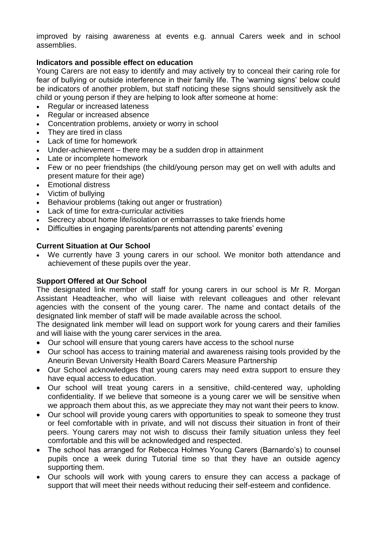improved by raising awareness at events e.g. annual Carers week and in school assemblies.

## **Indicators and possible effect on education**

Young Carers are not easy to identify and may actively try to conceal their caring role for fear of bullying or outside interference in their family life. The 'warning signs' below could be indicators of another problem, but staff noticing these signs should sensitively ask the child or young person if they are helping to look after someone at home:

- Regular or increased lateness
- Regular or increased absence
- Concentration problems, anxiety or worry in school
- They are tired in class
- Lack of time for homework
- Under-achievement there may be a sudden drop in attainment
- Late or incomplete homework
- Few or no peer friendships (the child/young person may get on well with adults and present mature for their age)
- Emotional distress
- Victim of bullying
- Behaviour problems (taking out anger or frustration)
- Lack of time for extra-curricular activities
- Secrecy about home life/isolation or embarrasses to take friends home
- Difficulties in engaging parents/parents not attending parents' evening

#### **Current Situation at Our School**

 We currently have 3 young carers in our school. We monitor both attendance and achievement of these pupils over the year.

#### **Support Offered at Our School**

The designated link member of staff for young carers in our school is Mr R. Morgan Assistant Headteacher, who will liaise with relevant colleagues and other relevant agencies with the consent of the young carer. The name and contact details of the designated link member of staff will be made available across the school.

The designated link member will lead on support work for young carers and their families and will liaise with the young carer services in the area.

- Our school will ensure that young carers have access to the school nurse
- Our school has access to training material and awareness raising tools provided by the Aneurin Bevan University Health Board Carers Measure Partnership
- Our School acknowledges that young carers may need extra support to ensure they have equal access to education.
- Our school will treat young carers in a sensitive, child-centered way, upholding confidentiality. If we believe that someone is a young carer we will be sensitive when we approach them about this, as we appreciate they may not want their peers to know.
- Our school will provide young carers with opportunities to speak to someone they trust or feel comfortable with in private, and will not discuss their situation in front of their peers. Young carers may not wish to discuss their family situation unless they feel comfortable and this will be acknowledged and respected.
- The school has arranged for Rebecca Holmes Young Carers (Barnardo's) to counsel pupils once a week during Tutorial time so that they have an outside agency supporting them.
- Our schools will work with young carers to ensure they can access a package of support that will meet their needs without reducing their self-esteem and confidence.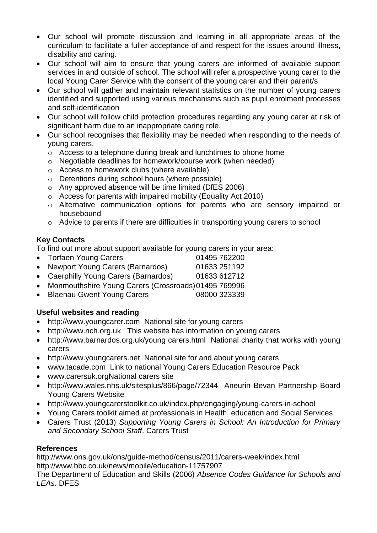- Our school will promote discussion and learning in all appropriate areas of the curriculum to facilitate a fuller acceptance of and respect for the issues around illness, disability and caring.
- Our school will aim to ensure that young carers are informed of available support services in and outside of school. The school will refer a prospective young carer to the local Young Carer Service with the consent of the young carer and their parent/s
- Our school will gather and maintain relevant statistics on the number of young carers identified and supported using various mechanisms such as pupil enrolment processes and self-identification
- Our school will follow child protection procedures regarding any young carer at risk of significant harm due to an inappropriate caring role.
- Our school recognises that flexibility may be needed when responding to the needs of young carers.
	- o Access to a telephone during break and lunchtimes to phone home
	- o Negotiable deadlines for homework/course work (when needed)
	- o Access to homework clubs (where available)
	- o Detentions during school hours (where possible)
	- o Any approved absence will be time limited (DfES 2006)
	- o Access for parents with impaired mobility (Equality Act 2010)
	- o Alternative communication options for parents who are sensory impaired or housebound
	- o Advice to parents if there are difficulties in transporting young carers to school

# **Key Contacts**

To find out more about support available for young carers in your area:

- Torfaen Young Carers 01495 762200
- Newport Young Carers (Barnardos) 01633 251192
- Caerphilly Young Carers (Barnardos) 01633 612712
- Monmouthshire Young Carers (Crossroads)01495 769996
- Blaenau Gwent Young Carers 08000 323339

# **Useful websites and reading**

- [http://www.youngcarer.com](http://www.youngcarer.com/) National site for young carers
- [http://www.nch.org.uk](http://www.nch.org.uk/) This website has information on young carers
- [http://www.barnardos.org.uk/young carers.html](http://www.barnardos.org.uk/young%20carers.html) National charity that works with young carers
- [http://www.youngcarers.net](http://www.youngcarers.net/) National site for and about young carers
- [www.tacade.com](http://www.tacade.com/) Link to national Young Carers Education Resource Pack
- [www.carersuk.orgN](http://www.carersuk.org/)ational carers site
- <http://www.wales.nhs.uk/sitesplus/866/page/72344>Aneurin Bevan Partnership Board Young Carers Website
- <http://www.youngcarerstoolkit.co.uk/index.php/engaging/young-carers-in-school>
- Young Carers toolkit aimed at professionals in Health, education and Social Services
- Carers Trust (2013) *Supporting Young Carers in School: An Introduction for Primary and Secondary School Staff*. Carers Trust

#### **References**

<http://www.ons.gov.uk/ons/guide-method/census/2011/carers-week/index.html> <http://www.bbc.co.uk/news/mobile/education-11757907>

The Department of Education and Skills (2006) *Absence Codes Guidance for Schools and LEAs.* DFES